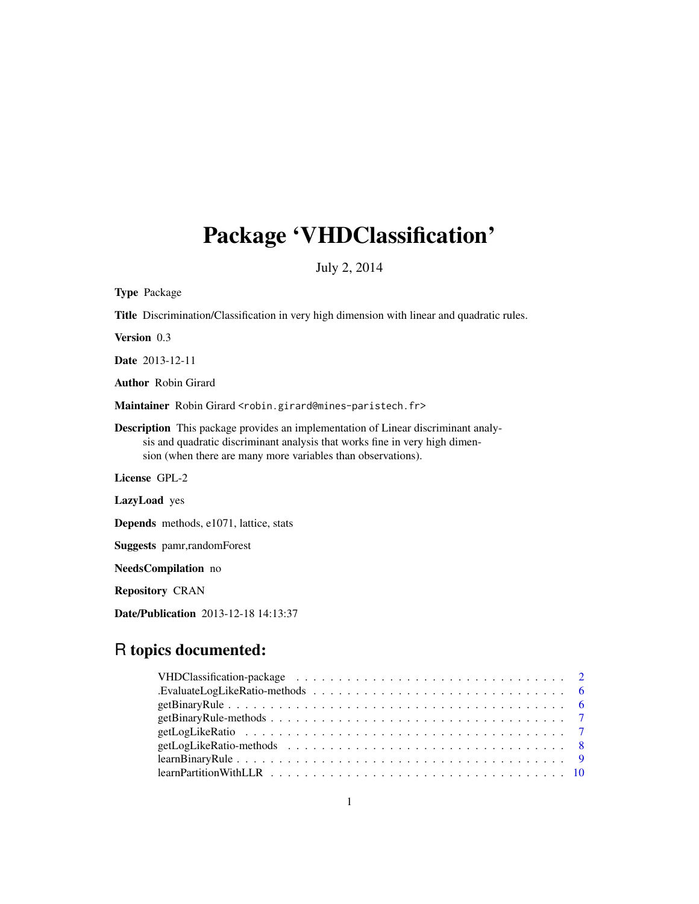## Package 'VHDClassification'

July 2, 2014

Type Package

Title Discrimination/Classification in very high dimension with linear and quadratic rules.

Version 0.3

Date 2013-12-11

Author Robin Girard

Maintainer Robin Girard <robin.girard@mines-paristech.fr>

Description This package provides an implementation of Linear discriminant analysis and quadratic discriminant analysis that works fine in very high dimension (when there are many more variables than observations).

License GPL-2

LazyLoad yes

Depends methods, e1071, lattice, stats

Suggests pamr,randomForest

NeedsCompilation no

Repository CRAN

Date/Publication 2013-12-18 14:13:37

## R topics documented: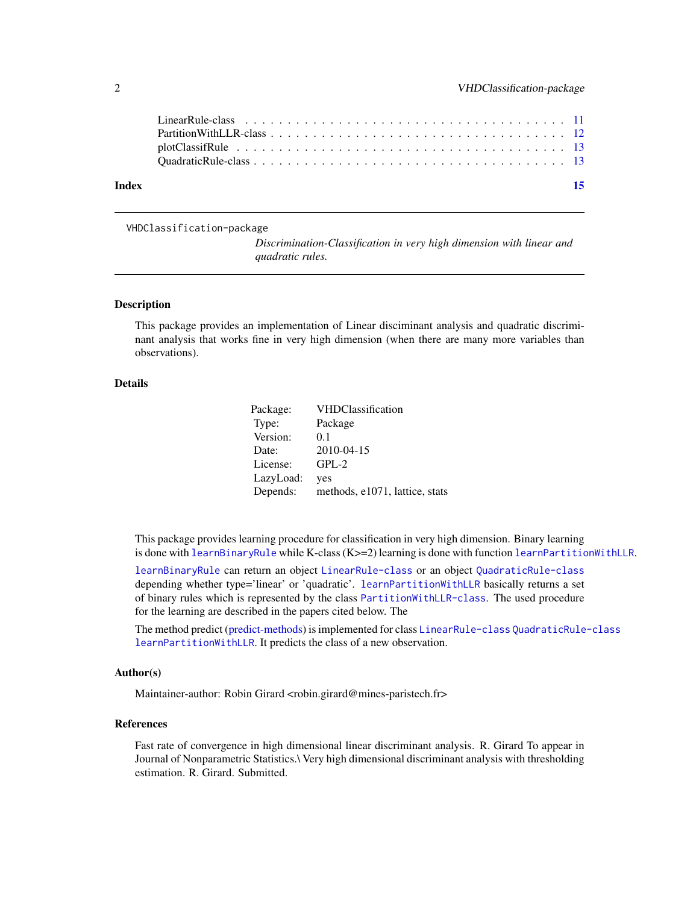<span id="page-1-0"></span>

| Index | - 15 |
|-------|------|
|       |      |
|       |      |
|       |      |
|       |      |

VHDClassification-package

*Discrimination-Classification in very high dimension with linear and quadratic rules.*

#### <span id="page-1-1"></span>Description

This package provides an implementation of Linear disciminant analysis and quadratic discriminant analysis that works fine in very high dimension (when there are many more variables than observations).

## Details

| Package:  | <b>VHDClassification</b>       |
|-----------|--------------------------------|
| Type:     | Package                        |
| Version:  | 0.1                            |
| Date:     | 2010-04-15                     |
| License:  | $GPL-2$                        |
| LazyLoad: | yes                            |
| Depends:  | methods, e1071, lattice, stats |

This package provides learning procedure for classification in very high dimension. Binary learning is done with [learnBinaryRule](#page-8-1) while K-class (K>=2) learning is done with function [learnPartitionWithLLR](#page-9-1).

[learnBinaryRule](#page-8-1) can return an object [LinearRule-class](#page-10-1) or an object [QuadraticRule-class](#page-12-1) depending whether type='linear' or 'quadratic'. [learnPartitionWithLLR](#page-9-1) basically returns a set of binary rules which is represented by the class [PartitionWithLLR-class](#page-11-1). The used procedure for the learning are described in the papers cited below. The

The method predict [\(predict-methods\)](#page-1-1) is implemented for class [LinearRule-class](#page-10-1) [QuadraticRule-class](#page-12-1) [learnPartitionWithLLR](#page-9-1). It predicts the class of a new observation.

#### Author(s)

Maintainer-author: Robin Girard <robin.girard@mines-paristech.fr>

#### References

Fast rate of convergence in high dimensional linear discriminant analysis. R. Girard To appear in Journal of Nonparametric Statistics.\ Very high dimensional discriminant analysis with thresholding estimation. R. Girard. Submitted.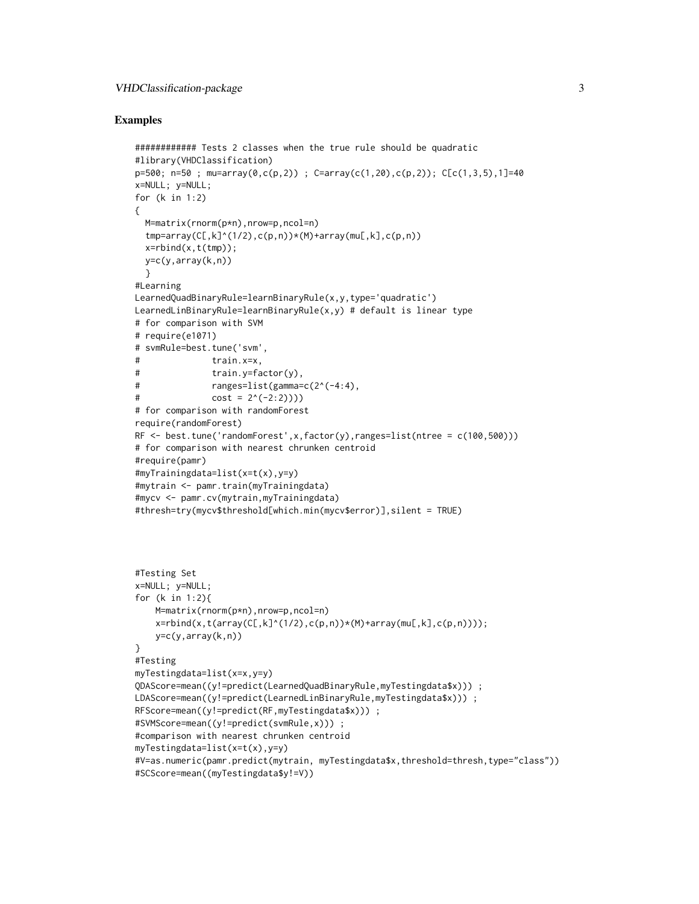#### Examples

```
############ Tests 2 classes when the true rule should be quadratic
#library(VHDClassification)
p=500; n=50; m=array(0, c(p,2)); C=array(c(1,20), c(p,2)); C[c(1,3,5),1]=40x=NULL; y=NULL;
for (k in 1:2)
{
  M=matrix(rnorm(p*n),nrow=p,ncol=n)
  tmp=array(C[,k]^(1/2),c(p,n))*(M)+array(mE,k],c(p,n))x = r \text{bind}(x, t(tmp));
  y=c(y,array(k,n))
  }
#Learning
LearnedQuadBinaryRule=learnBinaryRule(x,y,type='quadratic')
LearnedLinBinaryRule=learnBinaryRule(x,y) # default is linear type
# for comparison with SVM
# require(e1071)
# svmRule=best.tune('svm',
# train.x=x,
# train.y=factor(y),
# ranges=list(gamma=c(2^(-4:4)),# cost = 2^(-2:2))))# for comparison with randomForest
require(randomForest)
RF \le best.tune('randomForest',x,factor(y),ranges=list(ntree = c(100,500)))
# for comparison with nearest chrunken centroid
#require(pamr)
#myTrainingdata=list(x=t(x),y=y)
#mytrain <- pamr.train(myTrainingdata)
#mycv <- pamr.cv(mytrain,myTrainingdata)
#thresh=try(mycv$threshold[which.min(mycv$error)],silent = TRUE)
#Testing Set
x=NULL; y=NULL;
for (k in 1:2){
    M=matrix(rnorm(p*n),nrow=p,ncol=n)
    x = r \text{bind}(x, t(\arctan(C[, k]^{(1/2)}, c(p, n))*(M) + \arctan(m[, k], c(p, n))));
   y=c(y,array(k,n))}
#Testing
myTestingdata=list(x=x,y=y)
QDAScore=mean((y!=predict(LearnedQuadBinaryRule,myTestingdata$x))) ;
LDAScore=mean((y!=predict(LearnedLinBinaryRule,myTestingdata$x))) ;
RFScore=mean((y!=predict(RF,myTestingdata$x))) ;
#SVMScore=mean((y!=predict(svmRule,x))) ;
#comparison with nearest chrunken centroid
myTestingdata=list(x=t(x),y=y)
#V=as.numeric(pamr.predict(mytrain, myTestingdata$x,threshold=thresh,type="class"))
#SCScore=mean((myTestingdata$y!=V))
```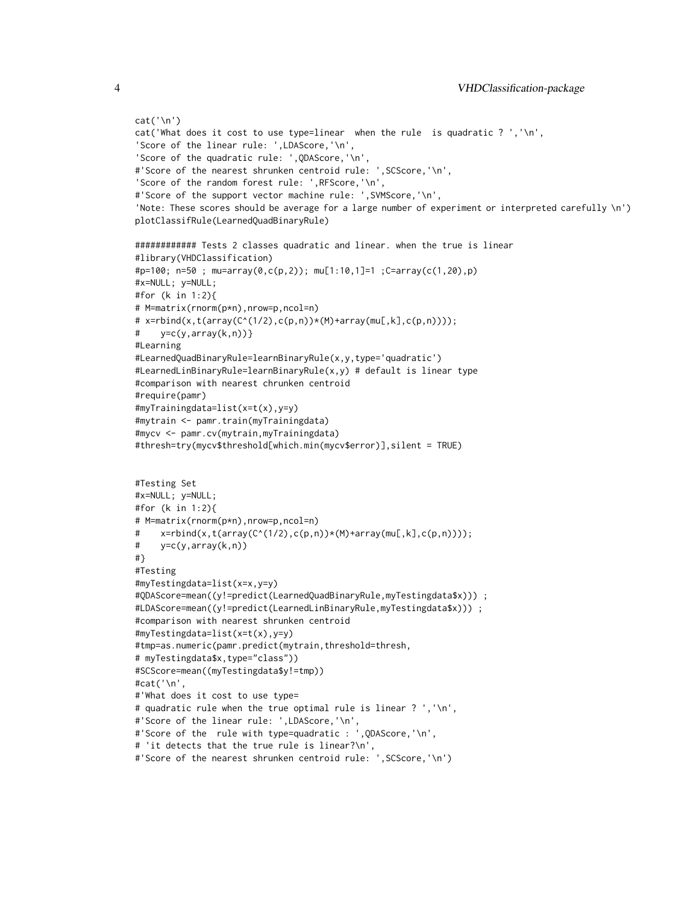```
cat('\n')
cat('What does it cost to use type=linear when the rule is quadratic ? ','\n',
'Score of the linear rule: ',LDAScore,'\n',
'Score of the quadratic rule: ',QDAScore,'\n',
#'Score of the nearest shrunken centroid rule: ',SCScore,'\n',
'Score of the random forest rule: ',RFScore,'\n',
#'Score of the support vector machine rule: ',SVMScore,'\n',
'Note: These scores should be average for a large number of experiment or interpreted carefully \n')
plotClassifRule(LearnedQuadBinaryRule)
############ Tests 2 classes quadratic and linear. when the true is linear
#library(VHDClassification)
#p=100; n=50 ; mu=array(0,c(p,2)); mu[1:10,1]=1 ;C=array(c(1,20),p)
#x=NULL; y=NULL;
#for (k in 1:2){
# M=matrix(rnorm(p*n),nrow=p,ncol=n)
# x=rbind(x,t(array(C^(1/2),c(p,n))*(M)+array(mu[,k],c(p,n))));
# y=c(y,array(k,n))}
#Learning
#LearnedQuadBinaryRule=learnBinaryRule(x,y,type='quadratic')
#LearnedLinBinaryRule=learnBinaryRule(x,y) # default is linear type
#comparison with nearest chrunken centroid
#require(pamr)
#myTrainingdata=list(x=t(x),y=y)
#mytrain <- pamr.train(myTrainingdata)
#mycv <- pamr.cv(mytrain,myTrainingdata)
#thresh=try(mycv$threshold[which.min(mycv$error)],silent = TRUE)
#Testing Set
#x=NULL; y=NULL;
#for (k in 1:2){
# M=matrix(rnorm(p*n),nrow=p,ncol=n)
     x = rbind(x, t(array(C^(1/2),c(p,n))*(M)+array(mL,k],c(p,n))));
# y=c(y,array(k,n))
#}
#Testing
#myTestingdata=list(x=x,y=y)
#QDAScore=mean((y!=predict(LearnedQuadBinaryRule,myTestingdata$x))) ;
#LDAScore=mean((y!=predict(LearnedLinBinaryRule,myTestingdata$x))) ;
#comparison with nearest shrunken centroid
#myTestingdata=list(x=t(x),y=y)
#tmp=as.numeric(pamr.predict(mytrain,threshold=thresh,
# myTestingdata$x,type="class"))
#SCScore=mean((myTestingdata$y!=tmp))
#cat('\n',
#'What does it cost to use type=
# quadratic rule when the true optimal rule is linear ? ','\n',
#'Score of the linear rule: ',LDAScore,'\n',
#'Score of the rule with type=quadratic : ',QDAScore,'\n',
# 'it detects that the true rule is linear?\n',
#'Score of the nearest shrunken centroid rule: ',SCScore,'\n')
```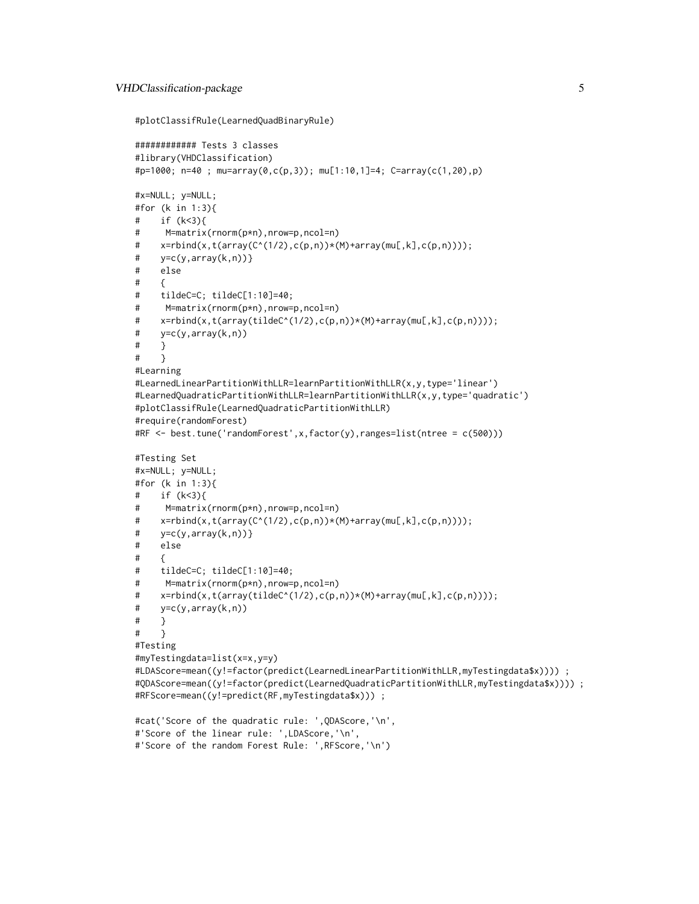```
#plotClassifRule(LearnedQuadBinaryRule)
```
#'Score of the random Forest Rule: ',RFScore,'\n')

```
############ Tests 3 classes
#library(VHDClassification)
#p=1000; n=40 ; mu=array(0,c(p,3)); mu[1:10,1]=4; C=array(c(1,20),p)
#x=NULL; y=NULL;
#for (k in 1:3){
# if (k < 3)# M=matrix(rnorm(p*n),nrow=p,ncol=n)
# x=rbind(x,t(array(C^(1/2),c(p,n))*(M)+array(mu[,k],c(p,n))));
# y=c(y,array(k,n))}
# else
# {
# tildeC=C; tildeC[1:10]=40;
# M=matrix(rnorm(p*n),nrow=p,ncol=n)
# x=rbind(x,t(array(tildeC^(1/2),c(p,n))*(M)+array(mu[,k],c(p,n))));
# y=c(y,array(k,n))
# }
# }
#Learning
#LearnedLinearPartitionWithLLR=learnPartitionWithLLR(x,y,type='linear')
#LearnedQuadraticPartitionWithLLR=learnPartitionWithLLR(x,y,type='quadratic')
#plotClassifRule(LearnedQuadraticPartitionWithLLR)
#require(randomForest)
#RF <- best.tune('randomForest',x,factor(y),ranges=list(ntree = c(500)))
#Testing Set
#x=NULL; y=NULL;
#for (k in 1:3){
# if (k<3){
# M=matrix(rnorm(p*n),nrow=p,ncol=n)
# x=rbind(x,t(array(C<sup>^</sup>(1/2),c(p,n))*(M)+array(mL,k],c(p,n))));
# y=c(y,array(k,n))}
# else
# \qquad# tildeC=C; tildeC[1:10]=40;
# M=matrix(rnorm(p*n),nrow=p,ncol=n)
# x=rbind(x,t(array(tildeC^(1/2),c(p,n))*(M)+array(mu[,k],c(p,n))));
# y=c(y,array(k,n))
# }
# }
#Testing
#myTestingdata=list(x=x,y=y)
#LDAScore=mean((y!=factor(predict(LearnedLinearPartitionWithLLR,myTestingdata$x)))) ;
#QDAScore=mean((y!=factor(predict(LearnedQuadraticPartitionWithLLR,myTestingdata$x)))) ;
#RFScore=mean((y!=predict(RF,myTestingdata$x))) ;
#cat('Score of the quadratic rule: ',QDAScore,'\n',
#'Score of the linear rule: ',LDAScore,'\n',
```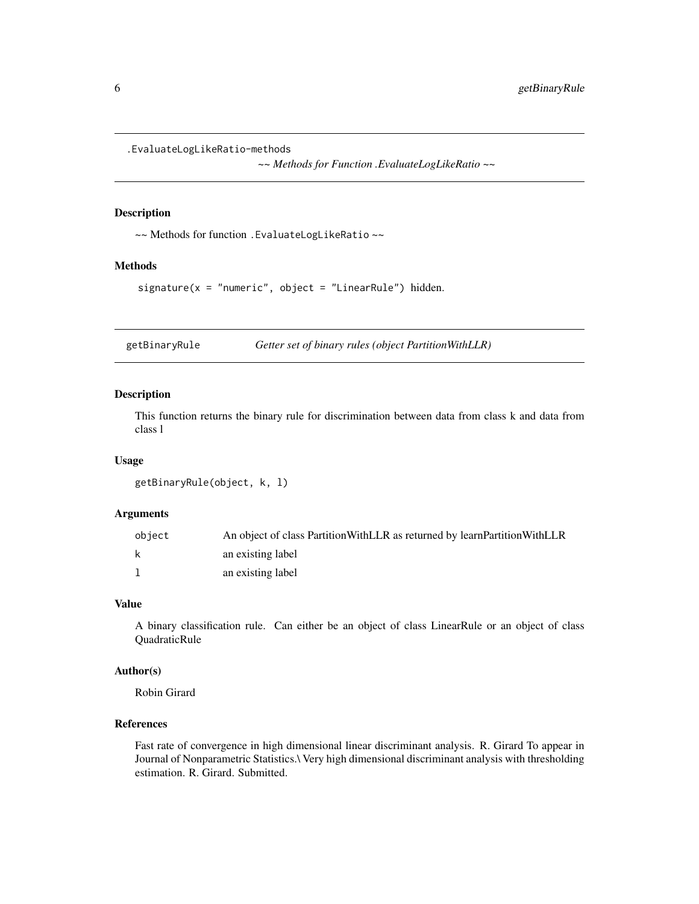<span id="page-5-0"></span>.EvaluateLogLikeRatio-methods

*~~ Methods for Function .EvaluateLogLikeRatio ~~*

## Description

~~ Methods for function .EvaluateLogLikeRatio ~~

#### Methods

signature( $x = "numeric", object = "LinearRule") hidden.$ 

<span id="page-5-1"></span>getBinaryRule *Getter set of binary rules (object PartitionWithLLR)*

#### Description

This function returns the binary rule for discrimination between data from class k and data from class l

#### Usage

```
getBinaryRule(object, k, l)
```
## Arguments

| object | An object of class Partition With LLR as returned by learn Partition With LLR |
|--------|-------------------------------------------------------------------------------|
| k      | an existing label                                                             |
|        | an existing label                                                             |

### Value

A binary classification rule. Can either be an object of class LinearRule or an object of class QuadraticRule

## Author(s)

Robin Girard

#### References

Fast rate of convergence in high dimensional linear discriminant analysis. R. Girard To appear in Journal of Nonparametric Statistics.\ Very high dimensional discriminant analysis with thresholding estimation. R. Girard. Submitted.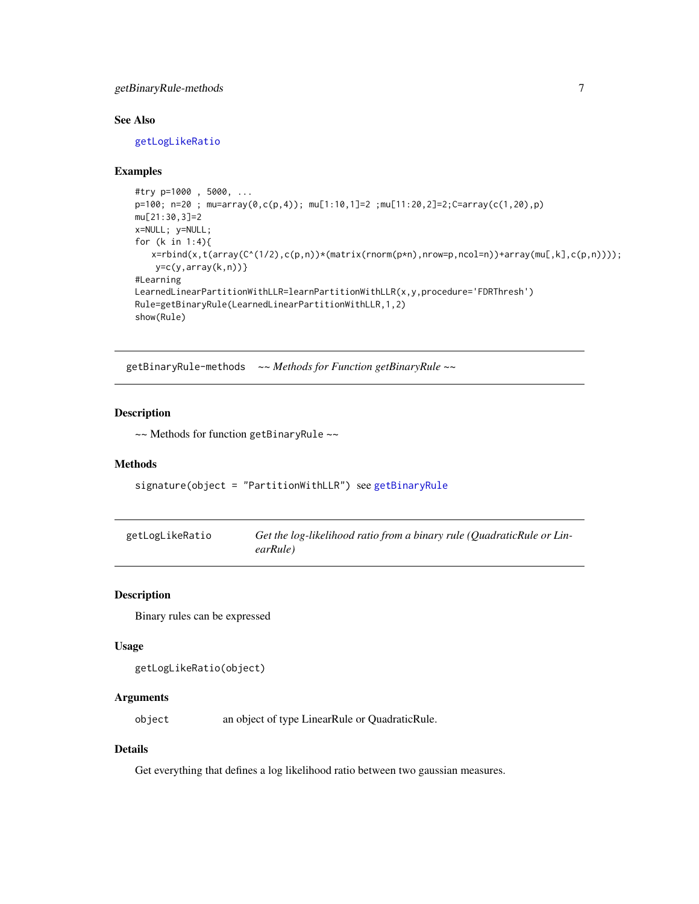## <span id="page-6-0"></span>getBinaryRule-methods 7

## See Also

[getLogLikeRatio](#page-6-1)

#### Examples

```
#try p=1000 , 5000, ...
p=100; n=20 ; mu=array(0,c(p,4)); mu[1:10,1]=2 ;mu[11:20,2]=2;C=array(c(1,20),p)
mu[21:30,3]=2
x=NULL; y=NULL;
for (k in 1:4){
   x=rbind(x,t(array(C^(1/2),c(p,n))*(matrix(rnorm(p*n),nrow=p,ncol=n))+array(mu[,k],c(p,n))));
   y=c(y,array(k,n))}
#Learning
LearnedLinearPartitionWithLLR=learnPartitionWithLLR(x,y,procedure='FDRThresh')
Rule=getBinaryRule(LearnedLinearPartitionWithLLR,1,2)
show(Rule)
```
getBinaryRule-methods *~~ Methods for Function getBinaryRule ~~*

## Description

~~ Methods for function getBinaryRule ~~

#### Methods

signature(object = "PartitionWithLLR") see [getBinaryRule](#page-5-1)

<span id="page-6-1"></span>

| getLogLikeRatio | Get the log-likelihood ratio from a binary rule (Quadratic Rule or Lin- |
|-----------------|-------------------------------------------------------------------------|
|                 | earRule)                                                                |

#### Description

Binary rules can be expressed

#### Usage

```
getLogLikeRatio(object)
```
## Arguments

object an object of type LinearRule or QuadraticRule.

#### Details

Get everything that defines a log likelihood ratio between two gaussian measures.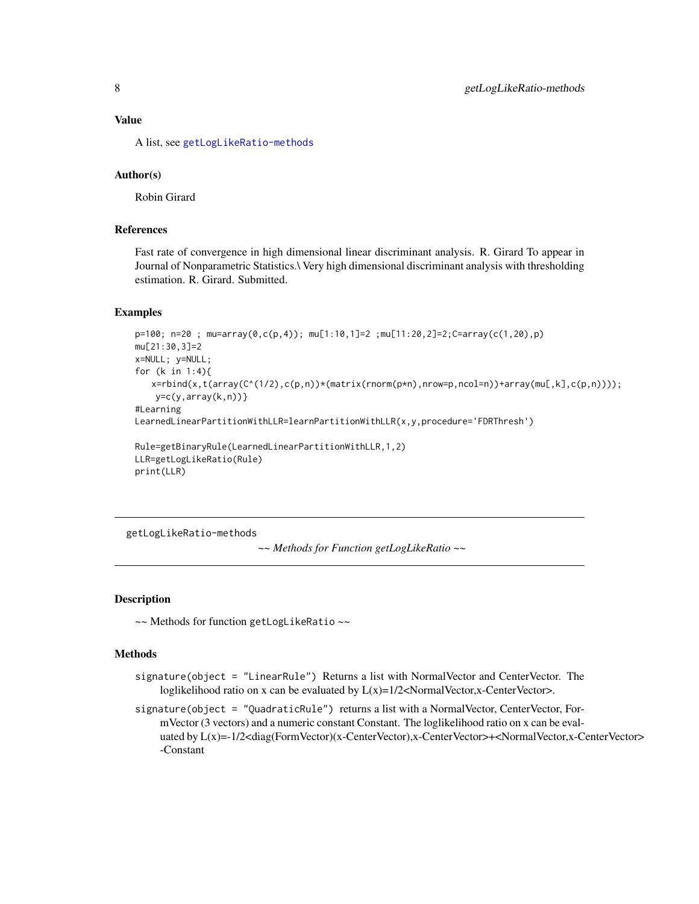#### <span id="page-7-0"></span>Value

A list, see [getLogLikeRatio-methods](#page-7-1)

## Author(s)

Robin Girard

#### References

Fast rate of convergence in high dimensional linear discriminant analysis. R. Girard To appear in Journal of Nonparametric Statistics.\ Very high dimensional discriminant analysis with thresholding estimation. R. Girard. Submitted.

#### Examples

```
p=100; n=20 ; mu=array(0,c(p,4)); mu[1:10,1]=2 ;mu[11:20,2]=2;C=array(c(1,20),p)
mu[21:30,3]=2
x=NULL; y=NULL;
for (k in 1:4){
   x=rbind(x,t(array(C^(1/2),c(p,n))*(matrix(rnorm(p*n),nrow=p,ncol=n))+array(mu[,k],c(p,n))));
   y=c(y,array(k,n))#Learning
LearnedLinearPartitionWithLLR=learnPartitionWithLLR(x,y,procedure='FDRThresh')
Rule=getBinaryRule(LearnedLinearPartitionWithLLR,1,2)
LLR=getLogLikeRatio(Rule)
print(LLR)
```
<span id="page-7-1"></span>getLogLikeRatio-methods

```
~~ Methods for Function getLogLikeRatio ~~
```
#### **Description**

~~ Methods for function getLogLikeRatio ~~

#### Methods

- signature(object = "LinearRule") Returns a list with NormalVector and CenterVector. The loglikelihood ratio on x can be evaluated by  $L(x)=1/2<$ NormalVector,x-CenterVector>.
- signature(object = "QuadraticRule") returns a list with a NormalVector, CenterVector, FormVector (3 vectors) and a numeric constant Constant. The loglikelihood ratio on x can be evaluated by L(x)=-1/2<diag(FormVector)(x-CenterVector),x-CenterVector>+<NormalVector,x-CenterVector> -Constant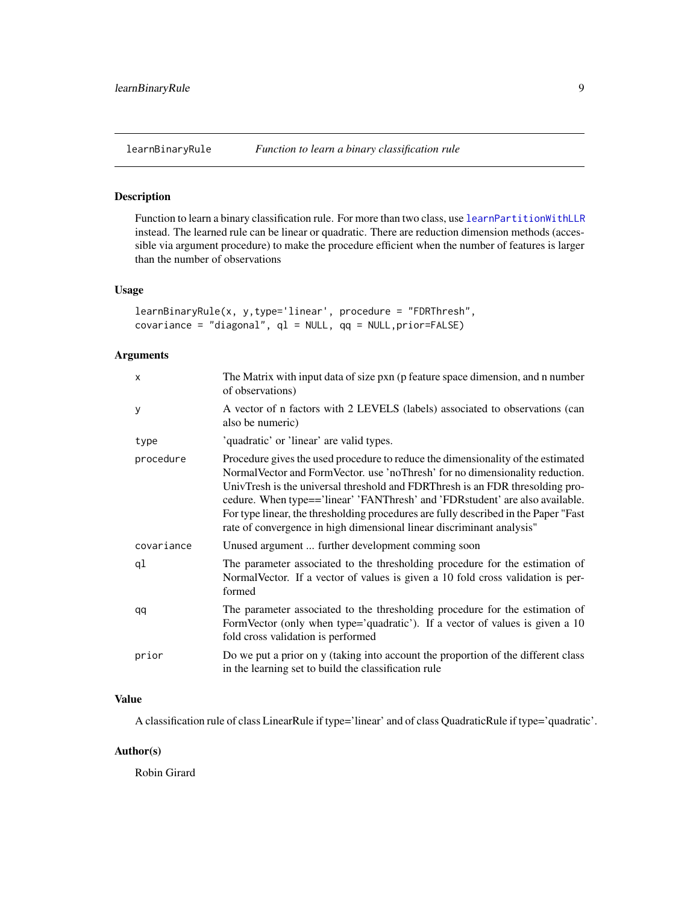<span id="page-8-1"></span><span id="page-8-0"></span>

## Description

Function to learn a binary classification rule. For more than two class, use [learnPartitionWithLLR](#page-9-1) instead. The learned rule can be linear or quadratic. There are reduction dimension methods (accessible via argument procedure) to make the procedure efficient when the number of features is larger than the number of observations

#### Usage

```
learnBinaryRule(x, y,type='linear', procedure = "FDRThresh",
covariance = "diagonal", ql = NULL, qq = NULL,prior=FALSE)
```
#### Arguments

| $\mathsf{x}$ | The Matrix with input data of size pxn (p feature space dimension, and n number<br>of observations)                                                                                                                                                                                                                                                                                                                                                                                                  |
|--------------|------------------------------------------------------------------------------------------------------------------------------------------------------------------------------------------------------------------------------------------------------------------------------------------------------------------------------------------------------------------------------------------------------------------------------------------------------------------------------------------------------|
| y            | A vector of n factors with 2 LEVELS (labels) associated to observations (can<br>also be numeric)                                                                                                                                                                                                                                                                                                                                                                                                     |
| type         | 'quadratic' or 'linear' are valid types.                                                                                                                                                                                                                                                                                                                                                                                                                                                             |
| procedure    | Procedure gives the used procedure to reduce the dimensionality of the estimated<br>Normal Vector and Form Vector. use 'no Thresh' for no dimensionality reduction.<br>UnivTresh is the universal threshold and FDRThresh is an FDR thresolding pro-<br>cedure. When type=='linear' 'FANThresh' and 'FDRstudent' are also available.<br>For type linear, the thresholding procedures are fully described in the Paper "Fast<br>rate of convergence in high dimensional linear discriminant analysis" |
| covariance   | Unused argument  further development comming soon                                                                                                                                                                                                                                                                                                                                                                                                                                                    |
| ql           | The parameter associated to the thresholding procedure for the estimation of<br>NormalVector. If a vector of values is given a 10 fold cross validation is per-<br>formed                                                                                                                                                                                                                                                                                                                            |
| qq           | The parameter associated to the thresholding procedure for the estimation of<br>FormVector (only when type='quadratic'). If a vector of values is given a 10<br>fold cross validation is performed                                                                                                                                                                                                                                                                                                   |
| prior        | Do we put a prior on y (taking into account the proportion of the different class<br>in the learning set to build the classification rule                                                                                                                                                                                                                                                                                                                                                            |

#### Value

A classification rule of class LinearRule if type='linear' and of class QuadraticRule if type='quadratic'.

## Author(s)

Robin Girard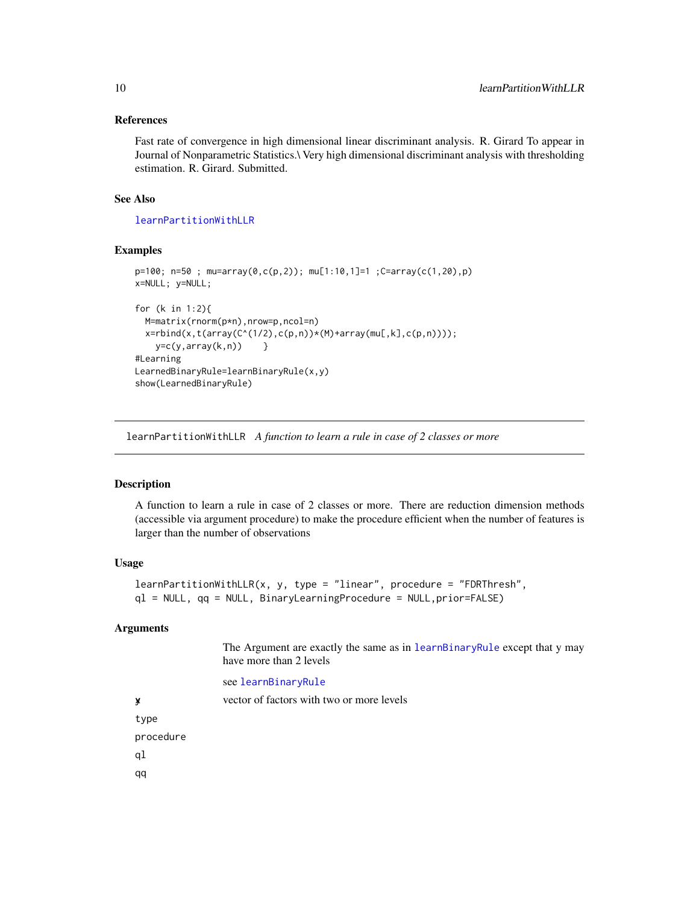#### <span id="page-9-0"></span>References

Fast rate of convergence in high dimensional linear discriminant analysis. R. Girard To appear in Journal of Nonparametric Statistics.\ Very high dimensional discriminant analysis with thresholding estimation. R. Girard. Submitted.

#### See Also

[learnPartitionWithLLR](#page-9-1)

## Examples

```
p=100; n=50 ; mu=array(0,c(p,2)); mu[1:10,1]=1 ;C=array(c(1,20),p)
x=NULL; y=NULL;
for (k in 1:2){
  M=matrix(rnorm(p*n),nrow=p,ncol=n)
  x = r \text{bind}(x, t(\arctan(C^(1/2), c(p, n)) * (M) + \arctan(mu[, k], c(p, n))));
    y=c(y,array(k,n)) }
#Learning
LearnedBinaryRule=learnBinaryRule(x,y)
show(LearnedBinaryRule)
```
<span id="page-9-1"></span>learnPartitionWithLLR *A function to learn a rule in case of 2 classes or more*

#### Description

A function to learn a rule in case of 2 classes or more. There are reduction dimension methods (accessible via argument procedure) to make the procedure efficient when the number of features is larger than the number of observations

#### Usage

```
learnPartitionWithLLR(x, y, type = "linear", procedure = "FDRThresh",
ql = NULL, qq = NULL, BinaryLearningProcedure = NULL,prior=FALSE)
```
#### **Arguments**

The Argument are exactly the same as in [learnBinaryRule](#page-8-1) except that y may have more than 2 levels

#### see [learnBinaryRule](#page-8-1)

xy vector of factors with two or more levels type procedure ql qq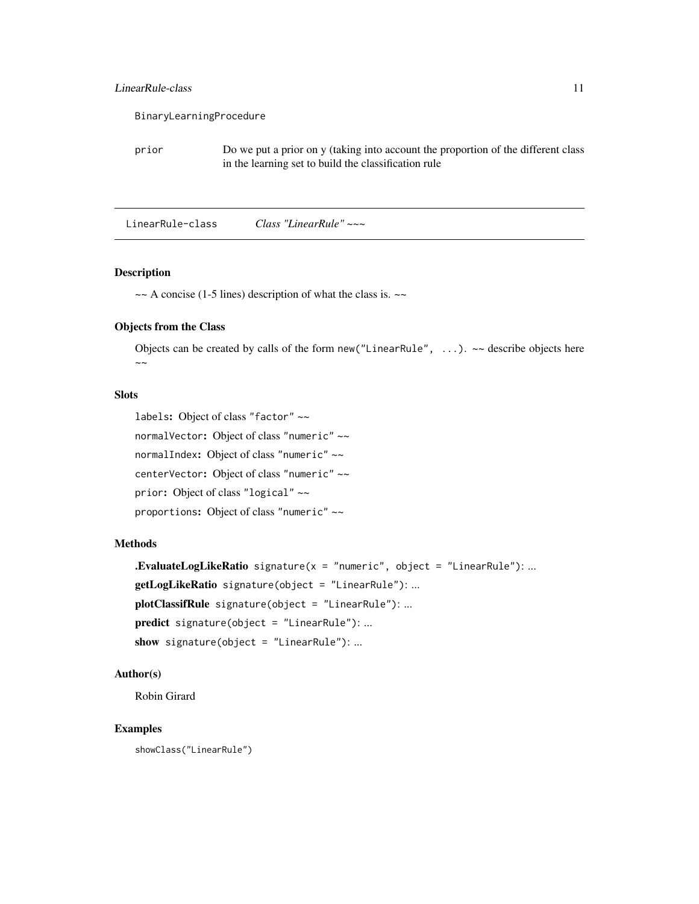## <span id="page-10-0"></span>LinearRule-class 11

|       | BinaryLearningProcedure                                                                                                                   |
|-------|-------------------------------------------------------------------------------------------------------------------------------------------|
| prior | Do we put a prior on y (taking into account the proportion of the different class<br>in the learning set to build the classification rule |

<span id="page-10-1"></span>LinearRule-class *Class "LinearRule" ~~~*

### Description

 $\sim$  A concise (1-5 lines) description of what the class is.  $\sim$ 

## Objects from the Class

Objects can be created by calls of the form new ("LinearRule",  $\ldots$ ).  $\sim$  describe objects here  $\sim$   $\sim$ 

## Slots

```
labels: Object of class "factor" ~~
normalVector: Object of class "numeric" ~~
normalIndex: Object of class "numeric" ~~
centerVector: Object of class "numeric" ~~
prior: Object of class "logical" ~~
proportions: Object of class "numeric" ~~
```
#### Methods

```
.EvaluateLogLikeRatio signature(x = "numeric", object = "LinearRule"); ...getLogLikeRatio signature(object = "LinearRule"): ...
plotClassifRule signature(object = "LinearRule"): ...
predict signature(object = "LinearRule"): ...
show signature(object = "LinearRule"): ...
```
## Author(s)

Robin Girard

## Examples

showClass("LinearRule")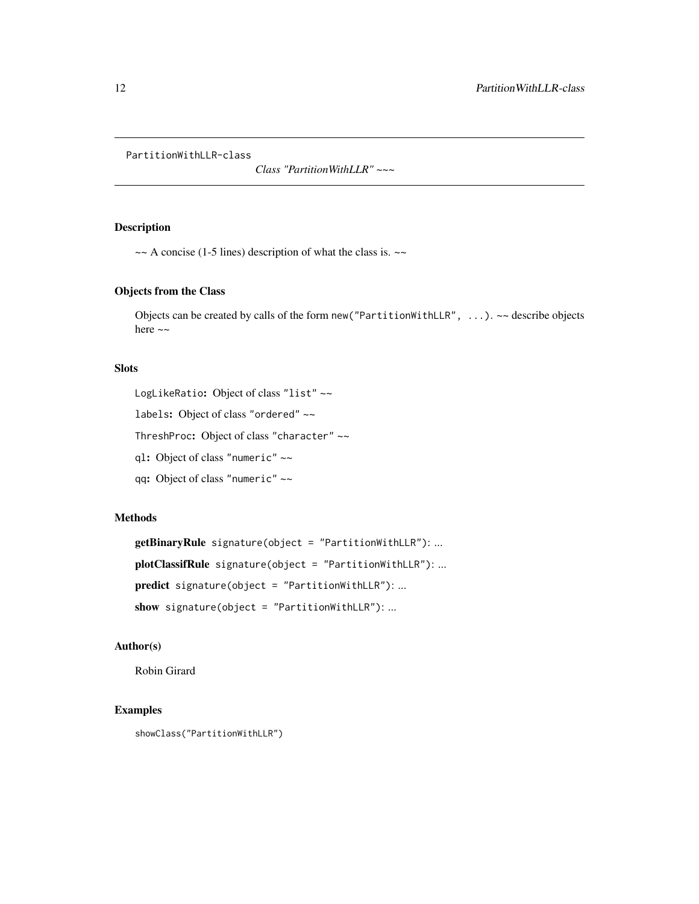<span id="page-11-1"></span><span id="page-11-0"></span>PartitionWithLLR-class

*Class "PartitionWithLLR" ~~~*

## Description

 $\sim$  A concise (1-5 lines) description of what the class is.  $\sim$ 

#### Objects from the Class

Objects can be created by calls of the form new ("PartitionWithLLR",  $\ldots$ ).  $\sim$  describe objects here  $\sim$ 

#### **Slots**

LogLikeRatio: Object of class "list" ~~

labels: Object of class "ordered" ~~

ThreshProc: Object of class "character" ~~

ql: Object of class "numeric" ~~

qq: Object of class "numeric" ~~

#### Methods

getBinaryRule signature(object = "PartitionWithLLR"): ... plotClassifRule signature(object = "PartitionWithLLR"): ... predict signature(object = "PartitionWithLLR"): ... show signature(object = "PartitionWithLLR"): ...

## Author(s)

Robin Girard

## Examples

showClass("PartitionWithLLR")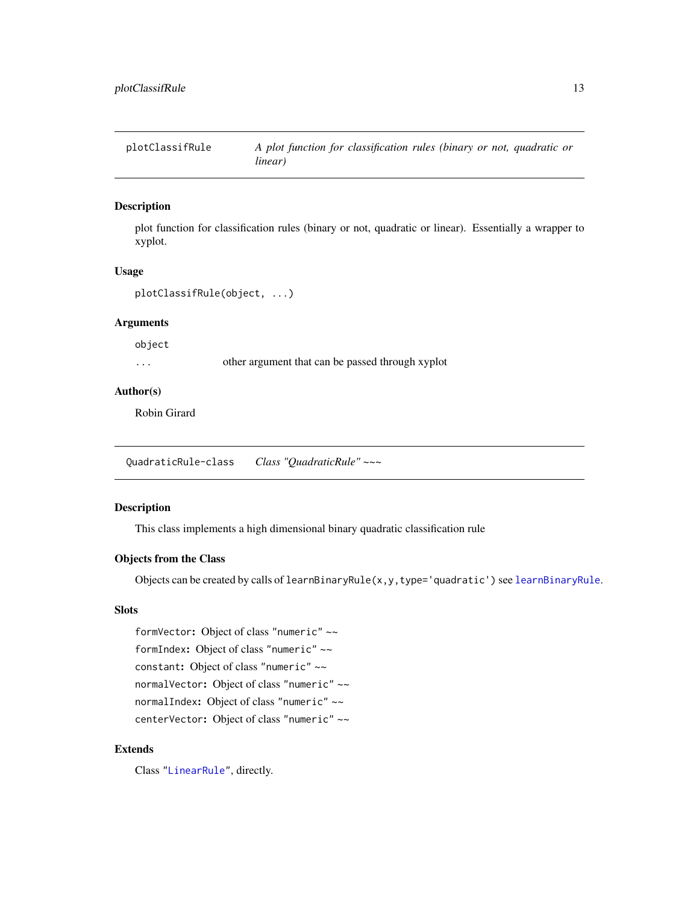<span id="page-12-0"></span>plotClassifRule *A plot function for classification rules (binary or not, quadratic or linear)*

## Description

plot function for classification rules (binary or not, quadratic or linear). Essentially a wrapper to xyplot.

#### Usage

```
plotClassifRule(object, ...)
```
## Arguments

object

... other argument that can be passed through xyplot

#### Author(s)

Robin Girard

<span id="page-12-1"></span>QuadraticRule-class *Class "QuadraticRule" ~~~*

## Description

This class implements a high dimensional binary quadratic classification rule

#### Objects from the Class

Objects can be created by calls of  $learnBinaryRule(x, y, type='quadratic') see  $learnBinaryRule$ .$  $learnBinaryRule(x, y, type='quadratic') see  $learnBinaryRule$ .$ 

## Slots

formVector: Object of class "numeric" ~~ formIndex: Object of class "numeric" ~~ constant: Object of class "numeric" ~~ normalVector: Object of class "numeric" ~~ normalIndex: Object of class "numeric" ~~ centerVector: Object of class "numeric" ~~

## Extends

Class ["LinearRule"](#page-10-1), directly.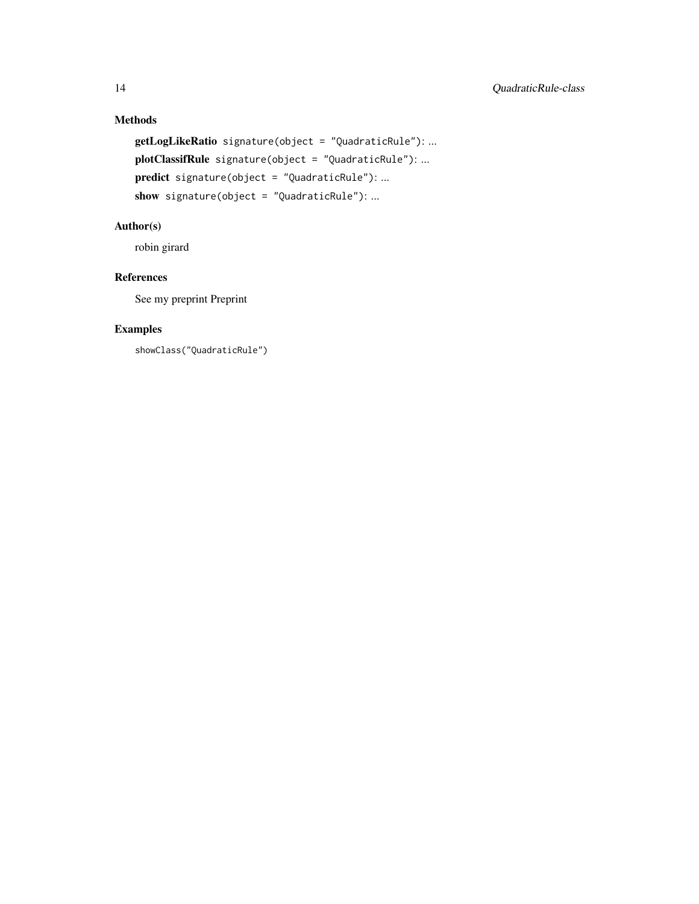## Methods

```
getLogLikeRatio signature(object = "QuadraticRule"): ...
plotClassifRule signature(object = "QuadraticRule"): ...
predict signature(object = "QuadraticRule"): ...
show signature(object = "QuadraticRule"): ...
```
## Author(s)

robin girard

## References

See my preprint Preprint

## Examples

showClass("QuadraticRule")